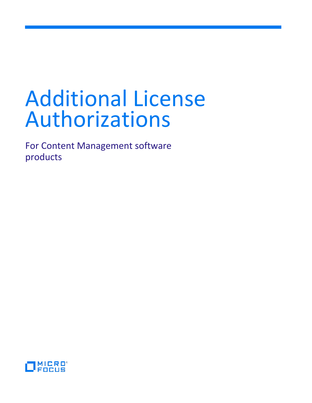# Additional License Authorizations

For Content Management software products

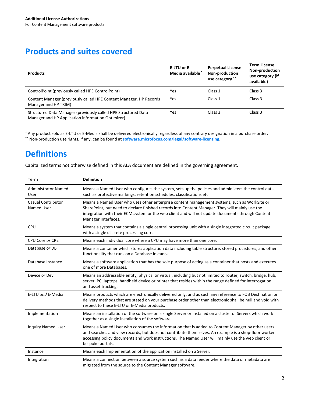# **Products and suites covered**

| <b>Products</b>                                                                                                     | E-LTU or E-<br>Media available | <b>Perpetual License</b><br>Non-production<br>use category ** | <b>Term License</b><br><b>Non-production</b><br>use category (if<br>available) |
|---------------------------------------------------------------------------------------------------------------------|--------------------------------|---------------------------------------------------------------|--------------------------------------------------------------------------------|
| ControlPoint (previously called HPE ControlPoint)                                                                   | Yes                            | Class 1                                                       | Class 3                                                                        |
| Content Manager (previously called HPE Content Manager, HP Records<br>Manager and HP TRIM)                          | Yes                            | Class 1                                                       | Class 3                                                                        |
| Structured Data Manager (previously called HPE Structured Data<br>Manager and HP Application information Optimizer) | Yes                            | Class 3                                                       | Class 3                                                                        |

\* Any product sold as E-LTU or E-Media shall be delivered electronically regardless of any contrary designation in a purchase order. \*\* Non-production use rights, if any, can be found at **[software.microfocus.com/legal/software-licensing](https://software.microfocus.com/legal/software-licensing)**.

# **Definitions**

Capitalized terms not otherwise defined in this ALA document are defined in the governing agreement.

| <b>Term</b>                             | <b>Definition</b>                                                                                                                                                                                                                                                                                                                 |
|-----------------------------------------|-----------------------------------------------------------------------------------------------------------------------------------------------------------------------------------------------------------------------------------------------------------------------------------------------------------------------------------|
| <b>Administrator Named</b><br>User      | Means a Named User who configures the system, sets up the policies and administers the control data,<br>such as protective markings, retention schedules, classifications etc.                                                                                                                                                    |
| <b>Casual Contributor</b><br>Named User | Means a Named User who uses other enterprise content management systems, such as WorkSite or<br>SharePoint, but need to declare finished records into Content Manager. They will mainly use the<br>integration with their ECM system or the web client and will not update documents through Content<br>Manager interfaces.       |
| CPU                                     | Means a system that contains a single central processing unit with a single integrated circuit package<br>with a single discrete processing core.                                                                                                                                                                                 |
| CPU Core or CRE                         | Means each individual core where a CPU may have more than one core.                                                                                                                                                                                                                                                               |
| Database or DB                          | Means a container which stores application data including table structure, stored procedures, and other<br>functionality that runs on a Database Instance.                                                                                                                                                                        |
| Database Instance                       | Means a software application that has the sole purpose of acting as a container that hosts and executes<br>one of more Databases.                                                                                                                                                                                                 |
| Device or Dev                           | Means an addressable entity, physical or virtual, including but not limited to router, switch, bridge, hub,<br>server, PC, laptops, handheld device or printer that resides within the range defined for interrogation<br>and asset tracking.                                                                                     |
| E-LTU and E-Media                       | Means products which are electronically delivered only, and as such any reference to FOB Destination or<br>delivery methods that are stated on your purchase order other than electronic shall be null and void with<br>respect to these E-LTU or E-Media products.                                                               |
| Implementation                          | Means an installation of the software on a single Server or installed on a cluster of Servers which work<br>together as a single installation of the software.                                                                                                                                                                    |
| <b>Inquiry Named User</b>               | Means a Named User who consumes the information that is added to Content Manager by other users<br>and searches and view records, but does not contribute themselves. An example is a shop-floor worker<br>accessing policy documents and work instructions. The Named User will mainly use the web client or<br>bespoke portals. |
| Instance                                | Means each Implementation of the application installed on a Server.                                                                                                                                                                                                                                                               |
| Integration                             | Means a connection between a source system such as a data feeder where the data or metadata are<br>migrated from the source to the Content Manager software.                                                                                                                                                                      |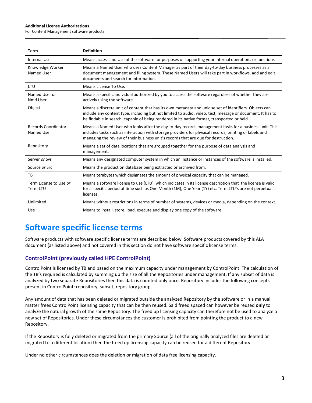#### **Additional License Authorizations**

For Content Management software products

| <b>Term</b>                              | <b>Definition</b>                                                                                                                                                                                                                                                                                                 |
|------------------------------------------|-------------------------------------------------------------------------------------------------------------------------------------------------------------------------------------------------------------------------------------------------------------------------------------------------------------------|
| <b>Internal Use</b>                      | Means access and Use of the software for purposes of supporting your internal operations or functions.                                                                                                                                                                                                            |
| Knowledge Worker<br>Named User           | Means a Named User who uses Content Manager as part of their day-to-day business processes as a<br>document management and filing system. These Named Users will take part in workflows, add and edit<br>documents and search for information.                                                                    |
| LTU                                      | Means License To Use.                                                                                                                                                                                                                                                                                             |
| Named User or<br>Nmd User                | Means a specific individual authorized by you to access the software regardless of whether they are<br>actively using the software.                                                                                                                                                                               |
| Object                                   | Means a discrete unit of content that has its own metadata and unique set of identifiers. Objects can<br>include any content type, including but not limited to audio, video, text, message or document. It has to<br>be findable in search, capable of being rendered in its native format, transported or held. |
| <b>Records Coordinator</b><br>Named User | Means a Named User who looks after the day-to-day records management tasks for a business unit. This<br>includes tasks such as interaction with storage providers for physical records, printing of labels and<br>managing the review of their business unit's records that are due for destruction.              |
| Repository                               | Means a set of data locations that are grouped together for the purpose of data analysis and<br>management.                                                                                                                                                                                                       |
| Server or Svr                            | Means any designated computer system in which an Instance or Instances of the software is installed.                                                                                                                                                                                                              |
| Source or Src                            | Means the production database being extracted or archived from.                                                                                                                                                                                                                                                   |
| TB                                       | Means terabytes which designates the amount of physical capacity that can be managed.                                                                                                                                                                                                                             |
| Term License to Use or<br>Term LTU       | Means a software license to use (LTU) which indicates in its license description that the license is valid<br>for a specific period of time such as One Month (1M), One Year (1Y) etc. Term LTU's are not perpetual<br>licenses.                                                                                  |
| Unlimited                                | Means without restrictions in terms of number of systems, devices or media, depending on the context.                                                                                                                                                                                                             |
| <b>Use</b>                               | Means to install, store, load, execute and display one copy of the software.                                                                                                                                                                                                                                      |

## **Software specific license terms**

Software products with software specific license terms are described below. Software products covered by this ALA document (as listed above) and not covered in this section do not have software specific license terms.

## **ControlPoint (previously called HPE ControlPoint)**

ControlPoint is licensed by TB and based on the maximum capacity under management by ControlPoint. The calculation of the TB's required is calculated by summing up the size of all the Repositories under management. If any subset of data is analyzed by two separate Repositories then this data is counted only once. Repository includes the following concepts present in ControlPoint: repository, subset, repository group.

Any amount of data that has been deleted or migrated outside the analyzed Repository by the software or in a manual matter frees ControlPoint licensing capacity that can be then reused. Said freed spaced can however be reused **only** to analyze the natural growth of the same Repository. The freed up licensing capacity can therefore not be used to analyze a new set of Repositories. Under these circumstances the customer is prohibited from pointing the product to a new Repository.

If the Repository is fully deleted or migrated from the primary Source (all of the originally analyzed files are deleted or migrated to a different location) then the freed up licensing capacity can be reused for a different Repository.

Under no other circumstances does the deletion or migration of data free licensing capacity.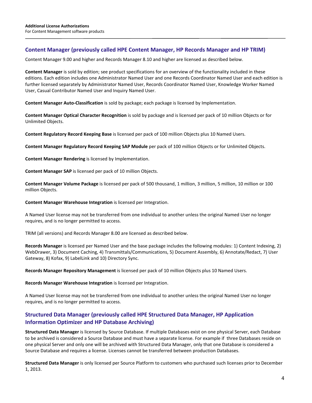### **Content Manager (previously called HPE Content Manager, HP Records Manager and HP TRIM)**

Content Manager 9.00 and higher and Records Manager 8.10 and higher are licensed as described below.

**Content Manager** is sold by edition; see product specifications for an overview of the functionality included in these editions. Each edition includes one Administrator Named User and one Records Coordinator Named User and each edition is further licensed separately by Administrator Named User, Records Coordinator Named User, Knowledge Worker Named User, Casual Contributor Named User and Inquiry Named User.

**Content Manager Auto-Classification** is sold by package; each package is licensed by Implementation.

**Content Manager Optical Character Recognition** is sold by package and is licensed per pack of 10 million Objects or for Unlimited Objects.

**Content Regulatory Record Keeping Base** is licensed per pack of 100 million Objects plus 10 Named Users.

**Content Manager Regulatory Record Keeping SAP Module** per pack of 100 million Objects or for Unlimited Objects.

**Content Manager Rendering** is licensed by Implementation.

**Content Manager SAP** is licensed per pack of 10 million Objects.

**Content Manager Volume Package** is licensed per pack of 500 thousand, 1 million, 3 million, 5 million, 10 million or 100 million Objects.

**Content Manager Warehouse Integration** is licensed per Integration.

A Named User license may not be transferred from one individual to another unless the original Named User no longer requires, and is no longer permitted to access.

TRIM (all versions) and Records Manager 8.00 are licensed as described below.

**Records Manager** is licensed per Named User and the base package includes the following modules: 1) Content Indexing, 2) WebDrawer, 3) Document Caching, 4) Transmittals/Communications, 5) Document Assembly, 6) Annotate/Redact, 7) User Gateway, 8) Kofax, 9) LabelLink and 10) Directory Sync.

**Records Manager Repository Management** is licensed per pack of 10 million Objects plus 10 Named Users.

**Records Manager Warehouse Integration** is licensed per Integration.

A Named User license may not be transferred from one individual to another unless the original Named User no longer requires, and is no longer permitted to access.

## **Structured Data Manager (previously called HPE Structured Data Manager, HP Application Information Optimizer and HP Database Archiving)**

**Structured Data Manager** is licensed by Source Database. If multiple Databases exist on one physical Server, each Database to be archived is considered a Source Database and must have a separate license. For example if three Databases reside on one physical Server and only one will be archived with Structured Data Manager, only that one Database is considered a Source Database and requires a license. Licenses cannot be transferred between production Databases.

**Structured Data Manager** is only licensed per Source Platform to customers who purchased such licenses prior to December 1, 2013.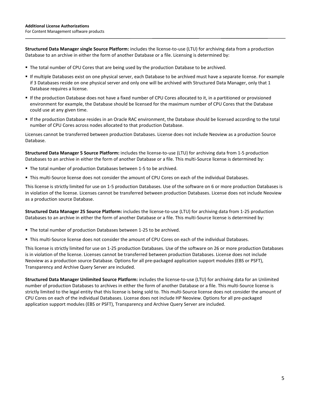**Structured Data Manager single Source Platform:** includes the license-to-use (LTU) for archiving data from a production Database to an archive in either the form of another Database or a file. Licensing is determined by:

- The total number of CPU Cores that are being used by the production Database to be archived.
- If multiple Databases exist on one physical server, each Database to be archived must have a separate license. For example if 3 Databases reside on one physical server and only one will be archived with Structured Data Manager, only that 1 Database requires a license.
- If the production Database does not have a fixed number of CPU Cores allocated to it, in a partitioned or provisioned environment for example, the Database should be licensed for the maximum number of CPU Cores that the Database could use at any given time.
- If the production Database resides in an Oracle RAC environment, the Database should be licensed according to the total number of CPU Cores across nodes allocated to that production Database.

Licenses cannot be transferred between production Databases. License does not include Neoview as a production Source Database.

**Structured Data Manager 5 Source Platform:** includes the license-to-use (LTU) for archiving data from 1-5 production Databases to an archive in either the form of another Database or a file. This multi-Source license is determined by:

- The total number of production Databases between 1-5 to be archived.
- This multi-Source license does not consider the amount of CPU Cores on each of the individual Databases.

This license is strictly limited for use on 1-5 production Databases. Use of the software on 6 or more production Databases is in violation of the license. Licenses cannot be transferred between production Databases. License does not include Neoview as a production source Database.

**Structured Data Manager 25 Source Platform:** includes the license-to-use (LTU) for archiving data from 1-25 production Databases to an archive in either the form of another Database or a file. This multi-Source license is determined by:

- The total number of production Databases between 1-25 to be archived.
- This multi-Source license does not consider the amount of CPU Cores on each of the individual Databases.

This license is strictly limited for use on 1-25 production Databases. Use of the software on 26 or more production Databases is in violation of the license. Licenses cannot be transferred between production Databases. License does not include Neoview as a production source Database. Options for all pre-packaged application support modules (EBS or PSFT), Transparency and Archive Query Server are included.

**Structured Data Manager Unlimited Source Platform:** includes the license-to-use (LTU) for archiving data for an Unlimited number of production Databases to archives in either the form of another Database or a file. This multi-Source license is strictly limited to the legal entity that this license is being sold to. This multi-Source license does not consider the amount of CPU Cores on each of the individual Databases. License does not include HP Neoview. Options for all pre-packaged application support modules (EBS or PSFT), Transparency and Archive Query Server are included.